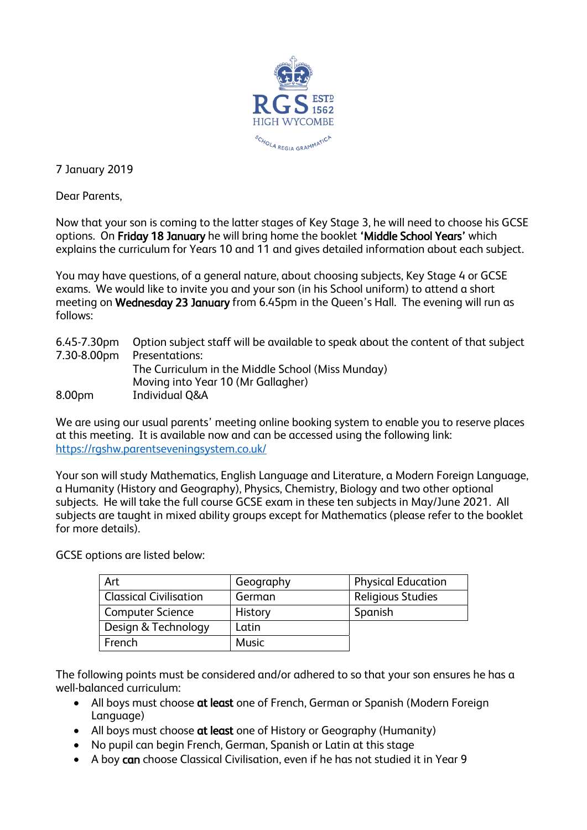

7 January 2019

Dear Parents,

Now that your son is coming to the latter stages of Key Stage 3, he will need to choose his GCSE options. On Friday 18 January he will bring home the booklet 'Middle School Years' which explains the curriculum for Years 10 and 11 and gives detailed information about each subject.

You may have questions, of a general nature, about choosing subjects, Key Stage 4 or GCSE exams. We would like to invite you and your son (in his School uniform) to attend a short meeting on Wednesday 23 January from 6.45pm in the Queen's Hall. The evening will run as follows:

|        | 6.45-7.30pm Option subject staff will be available to speak about the content of that subject |
|--------|-----------------------------------------------------------------------------------------------|
|        | 7.30-8.00pm Presentations:                                                                    |
|        | The Curriculum in the Middle School (Miss Munday)                                             |
|        | Moving into Year 10 (Mr Gallagher)                                                            |
| 8.00pm | <b>Individual Q&amp;A</b>                                                                     |

We are using our usual parents' meeting online booking system to enable you to reserve places at this meeting. It is available now and can be accessed using the following link: <https://rgshw.parentseveningsystem.co.uk/>

Your son will study Mathematics, English Language and Literature, a Modern Foreign Language, a Humanity (History and Geography), Physics, Chemistry, Biology and two other optional subjects. He will take the full course GCSE exam in these ten subjects in May/June 2021. All subjects are taught in mixed ability groups except for Mathematics (please refer to the booklet for more details).

GCSE options are listed below:

| Art                           | Geography    | <b>Physical Education</b> |
|-------------------------------|--------------|---------------------------|
| <b>Classical Civilisation</b> | German       | <b>Religious Studies</b>  |
| <b>Computer Science</b>       | History      | Spanish                   |
| Design & Technology           | Latin        |                           |
| French                        | <b>Music</b> |                           |

The following points must be considered and/or adhered to so that your son ensures he has a well-balanced curriculum:

- All boys must choose at least one of French, German or Spanish (Modern Foreign Language)
- All boys must choose at least one of History or Geography (Humanity)
- No pupil can begin French, German, Spanish or Latin at this stage
- A boy can choose Classical Civilisation, even if he has not studied it in Year 9